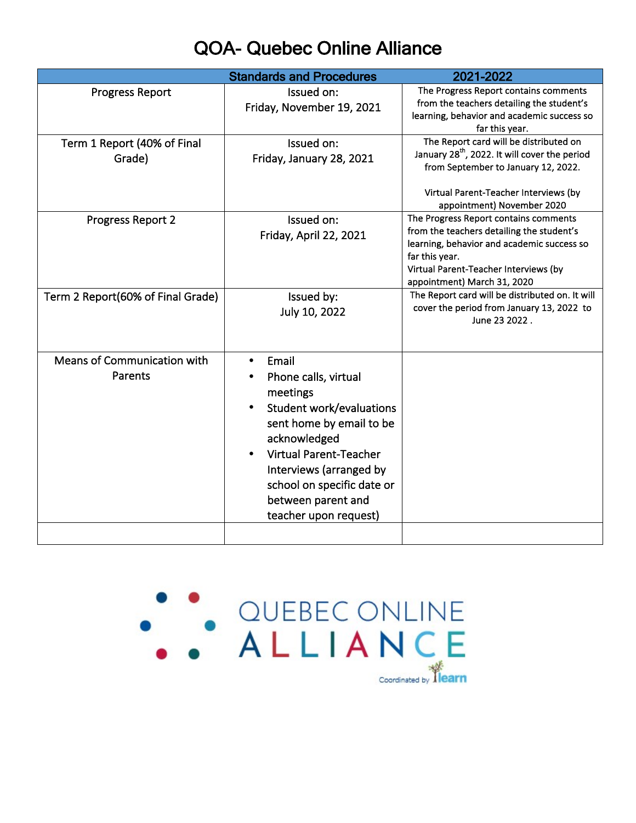## QOA- Quebec Online Alliance

|                                        | <b>Standards and Procedures</b>                                                                                                                                                                                                                                         | 2021-2022                                                                                                                                                                                                                  |
|----------------------------------------|-------------------------------------------------------------------------------------------------------------------------------------------------------------------------------------------------------------------------------------------------------------------------|----------------------------------------------------------------------------------------------------------------------------------------------------------------------------------------------------------------------------|
| <b>Progress Report</b>                 | Issued on:<br>Friday, November 19, 2021                                                                                                                                                                                                                                 | The Progress Report contains comments<br>from the teachers detailing the student's<br>learning, behavior and academic success so<br>far this year.                                                                         |
| Term 1 Report (40% of Final<br>Grade)  | Issued on:<br>Friday, January 28, 2021                                                                                                                                                                                                                                  | The Report card will be distributed on<br>January 28 <sup>th</sup> , 2022. It will cover the period<br>from September to January 12, 2022.<br>Virtual Parent-Teacher Interviews (by<br>appointment) November 2020          |
| Progress Report 2                      | Issued on:<br>Friday, April 22, 2021                                                                                                                                                                                                                                    | The Progress Report contains comments<br>from the teachers detailing the student's<br>learning, behavior and academic success so<br>far this year.<br>Virtual Parent-Teacher Interviews (by<br>appointment) March 31, 2020 |
| Term 2 Report(60% of Final Grade)      | Issued by:<br>July 10, 2022                                                                                                                                                                                                                                             | The Report card will be distributed on. It will<br>cover the period from January 13, 2022 to<br>June 23 2022.                                                                                                              |
| Means of Communication with<br>Parents | Email<br>$\bullet$<br>Phone calls, virtual<br>meetings<br>Student work/evaluations<br>sent home by email to be<br>acknowledged<br><b>Virtual Parent-Teacher</b><br>Interviews (arranged by<br>school on specific date or<br>between parent and<br>teacher upon request) |                                                                                                                                                                                                                            |
|                                        |                                                                                                                                                                                                                                                                         |                                                                                                                                                                                                                            |